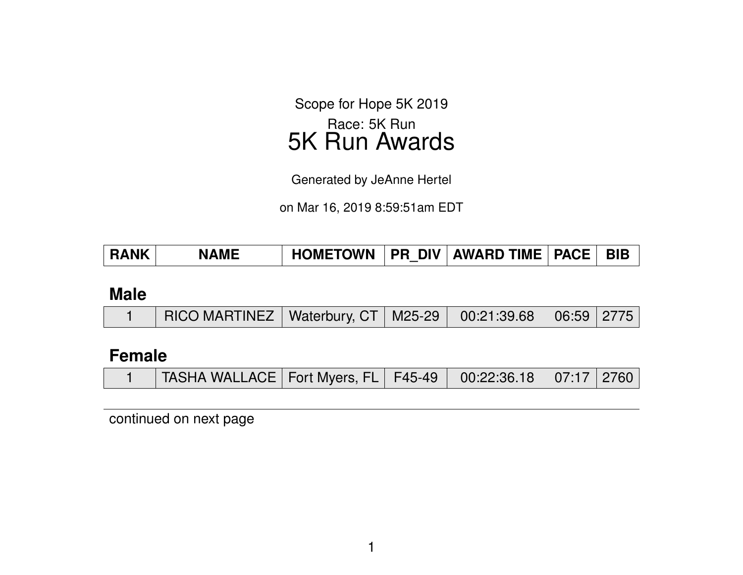Scope for Hope 5K 2019 Race: 5K Run 5K Run Awards

Generated by JeAnne Hertel

on Mar 16, 2019 8:59:51am EDT

| <b>RANK</b> | <b>NAME</b> | <b>HOMETOWN</b> |  | I PR DIV   AWARD TIME   PACE |  | <b>BIB</b> |
|-------------|-------------|-----------------|--|------------------------------|--|------------|
|-------------|-------------|-----------------|--|------------------------------|--|------------|

#### **Male**

|  | RICO MARTINEZ   Waterbury, CT   M25-29   00:21:39.68   06:59   2775 |  |  |  |  |  |
|--|---------------------------------------------------------------------|--|--|--|--|--|
|--|---------------------------------------------------------------------|--|--|--|--|--|

### **Female**

|  | TASHA WALLACE   Fort Myers, FL   F45-49   00:22:36.18   07:17   2760 |  |  |  |  |  |
|--|----------------------------------------------------------------------|--|--|--|--|--|
|--|----------------------------------------------------------------------|--|--|--|--|--|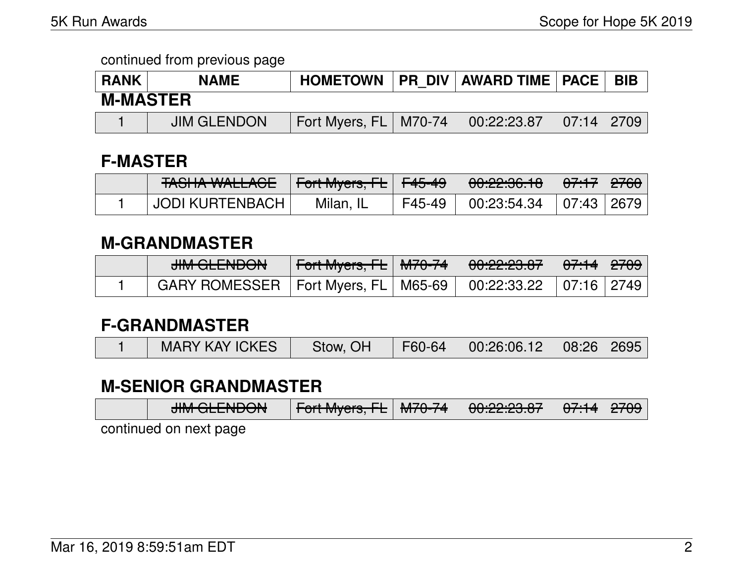| <b>RANK</b>     | I   PR_DIV   AWARD TIME   PACE  <br><b>HOMETOWN</b><br><b>NAME</b> |                         |  |             |                             | <b>BIB</b> |  |  |  |
|-----------------|--------------------------------------------------------------------|-------------------------|--|-------------|-----------------------------|------------|--|--|--|
| <b>M-MASTER</b> |                                                                    |                         |  |             |                             |            |  |  |  |
|                 | <b>JIM GLENDON</b>                                                 | Fort Myers, FL   M70-74 |  | 00:22:23.87 | $\mid 07:14 \mid 2709 \mid$ |            |  |  |  |

# **F-MASTER**

| TAQUIA WALLACE<br><b>TAJITA WALLAUL</b> | Fort Myers, FL F45-49 |        | 00:22:36.18 | <del>07:17</del>   <del>2760</del> |  |
|-----------------------------------------|-----------------------|--------|-------------|------------------------------------|--|
| <b>JODI KURTENBACH</b>                  | Milan, IL             | F45-49 | 00:23:54.34 | 07:43 2679                         |  |

# **M-GRANDMASTER**

| <b>HILL OF LITION</b><br><del>JUNI QLENDON</del>                 | N <del>Fort Myers, FL</del> │ <del>M70-74</del> │ | <del>00:22:23.87</del> | │ <del>07:14</del> │ <del>2709</del> │ |  |
|------------------------------------------------------------------|---------------------------------------------------|------------------------|----------------------------------------|--|
| 「 GARY ROMESSER │Fort Myers, FL│M65-69│ 00:22:33.22 │07:16│2749│ |                                                   |                        |                                        |  |

# **F-GRANDMASTER**

|  | <b>MARY KAY ICKES</b> | Stow, OH | F60-64 | 00:26:06.12 | $\mid$ 08:26   2695 |  |
|--|-----------------------|----------|--------|-------------|---------------------|--|
|--|-----------------------|----------|--------|-------------|---------------------|--|

# **M-SENIOR GRANDMASTER**

|                          | <b>IIM OF FRIDOM</b><br>$\overline{J}$ | $L_{\text{out}}$ $M_{\text{max}}$ $\Gamma$   $M$ 70 74<br>्राणा ाणप्रत <b>ऽ, तट</b>   ाणा/0-7क <sub>ा</sub> |  | 0.0000007 | \ <del>07:14</del>   <del>2709</del> \ |  |  |  |  |
|--------------------------|----------------------------------------|-------------------------------------------------------------------------------------------------------------|--|-----------|----------------------------------------|--|--|--|--|
| santinusal am may timpop |                                        |                                                                                                             |  |           |                                        |  |  |  |  |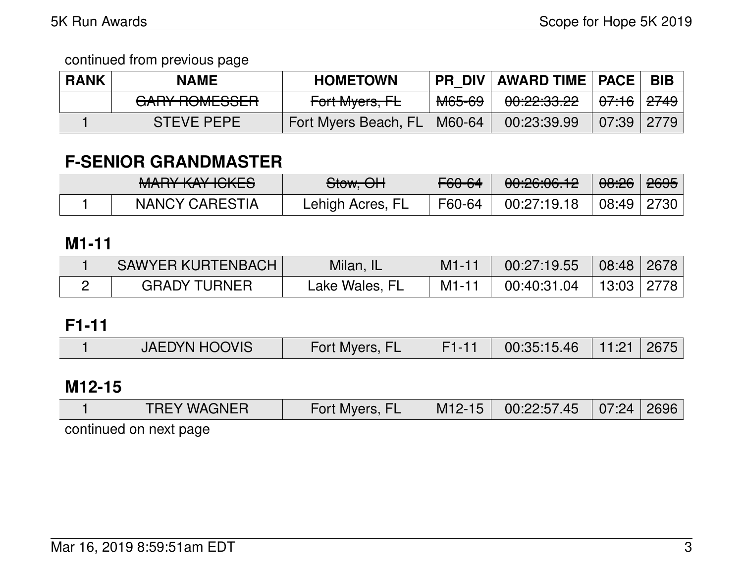| <b>RANK</b> | <b>NAME</b>                              | <b>HOMETOWN</b>      | <b>PR DIV</b>     | AWARD TIME   PACE                  |                    | <b>BIB</b>        |
|-------------|------------------------------------------|----------------------|-------------------|------------------------------------|--------------------|-------------------|
|             | CADV DOMECCED<br><del>UAITHUMLOOLN</del> | Fort Myers, FL       | <del>M65-69</del> | <u>ഹഹഹ ഹ</u><br><u>UU.CZ.UU.CZ</u> | <del>07:16</del> I | l <del>2749</del> |
|             | <b>STEVE PEPE</b>                        | Fort Myers Beach, FL | M60-64            | 00:23:39.99                        | 07:39              | 2779              |

# **F-SENIOR GRANDMASTER**

| MANDV VAVIOLED<br><b>MARTINAL IVILLO</b> | Stow, OH         | F60-64 | 00:26:06.12     | <del>08:26</del> ∣ <del>2695</del> ∣ |  |
|------------------------------------------|------------------|--------|-----------------|--------------------------------------|--|
| <b>NANCY CARESTIA</b>                    | Lehigh Acres, FL | F60-64 | $00:27:19.18$ i | 08:49   2730                         |  |

### **M1-11**

| <b>SAWYER KURTENBACH</b> | Milan, IL      | $M1 - 11$ | $\mid$ 00:27:19.55 $\mid$ 08:48 $\mid$ 2678 $\mid$ |  |
|--------------------------|----------------|-----------|----------------------------------------------------|--|
| <b>GRADY TURNER</b>      | Lake Wales, FL | $M1 - 11$ | $00:40:31.04$   13:03   2778                       |  |

## **F1-11**

| <b>JAEDYN HOOVIS</b> | Fort Myers, I | 00:35:15.46 | . 11:21 / | 2675 |
|----------------------|---------------|-------------|-----------|------|

### **M12-15**

| <b>TREY WAGNER</b>     | Fort Myers, FL |  | M12-15 00:22:57.45 07:24 2696 |  |  |  |  |  |  |
|------------------------|----------------|--|-------------------------------|--|--|--|--|--|--|
| continued on nevt nage |                |  |                               |  |  |  |  |  |  |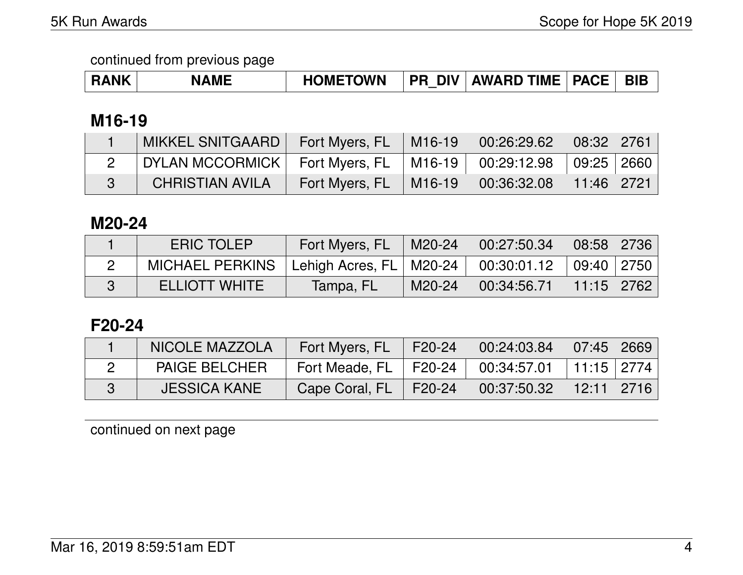| <b>RANK</b> | <b>NAME</b> | <b>HOMETOWN</b> |  | <b>PR DIV AWARD TIME   PACE  </b> |  | BIB |
|-------------|-------------|-----------------|--|-----------------------------------|--|-----|
|-------------|-------------|-----------------|--|-----------------------------------|--|-----|

## **M16-19**

| MIKKEL SNITGAARD   Fort Myers, FL   M16-19   00:26:29.62   08:32   2761 |                                                      |  |  |
|-------------------------------------------------------------------------|------------------------------------------------------|--|--|
| DYLAN MCCORMICK   Fort Myers, FL   M16-19   00:29:12.98   09:25   2660  |                                                      |  |  |
| <b>CHRISTIAN AVILA</b>                                                  | Fort Myers, FL   M16-19   00:36:32.08   11:46   2721 |  |  |

### **M20-24**

| <b>ERIC TOLEP</b>    | Fort Myers, FL                                           | M20-24   | $00:27:50.34$ 08:58 2736 |            |  |
|----------------------|----------------------------------------------------------|----------|--------------------------|------------|--|
| MICHAEL PERKINS      | 「Lehigh Acres, FL   M20-24   00:30:01.12    09:40   2750 |          |                          |            |  |
| <b>ELLIOTT WHITE</b> | Tampa, FLI                                               | $M20-24$ | 00:34:56.71              | 11:15 2762 |  |

## **F20-24**

| NICOLE MAZZOLA       | Fort Myers, FL                                       | $F20-24$       | 00:24:03.84               | $\mid 07:45 \mid 2669 \mid$ |  |
|----------------------|------------------------------------------------------|----------------|---------------------------|-----------------------------|--|
| <b>PAIGE BELCHER</b> | Fort Meade, FL   F20-24   00:34:57.01   11:15   2774 |                |                           |                             |  |
| <b>JESSICA KANE</b>  | Cape Coral, FL                                       | $ $ F20-24 $ $ | $\frac{1}{2}$ 00:37:50.32 | $\mid$ 12:11   2716         |  |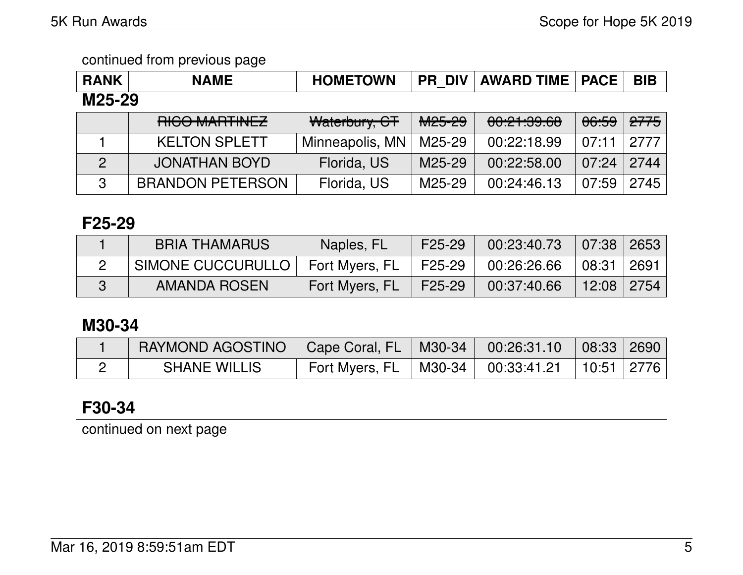| <b>RANK</b>    | <b>NAME</b>             | <b>HOMETOWN</b> |                    | <b>PR DIV AWARD TIME   PACE  </b>     |                  | <b>BIB</b>      |  |  |
|----------------|-------------------------|-----------------|--------------------|---------------------------------------|------------------|-----------------|--|--|
| M25-29         |                         |                 |                    |                                       |                  |                 |  |  |
|                | RICO MARTINEZ           | Waterbury, CT   | M <sub>25-29</sub> | 0.01.00.00<br><u>UU. Z. I. JJ. UU</u> | <del>06:59</del> | <del>2775</del> |  |  |
|                | <b>KELTON SPLETT</b>    | Minneapolis, MN | M25-29             | 00:22:18.99                           | 07:11            | 2777            |  |  |
| $\overline{2}$ | <b>JONATHAN BOYD</b>    | Florida, US     | M25-29             | 00:22:58.00                           | 07:24            | 2744            |  |  |
| 3              | <b>BRANDON PETERSON</b> | Florida, US     | M25-29             | 00:24:46.13                           | 07:59            | 2745            |  |  |

### **F25-29**

| <b>BRIA THAMARUS</b> | Naples, FL     | F25-29 | 00:23:40.73 | $07:38$ 2653 |      |
|----------------------|----------------|--------|-------------|--------------|------|
| SIMONE CUCCURULLO    | Fort Myers, FL | F25-29 | 00:26:26.66 | 08:31 ∣      | 2691 |
| AMANDA ROSEN         | Fort Myers, FL | F25-29 | 00:37:40.66 | $12:08$ 2754 |      |

## **M30-34**

| RAYMOND AGOSTINO   Cape Coral, FL   M30-34   00:26:31.10   08:33   2690 |                |                                                 |  |
|-------------------------------------------------------------------------|----------------|-------------------------------------------------|--|
| <b>SHANE WILLIS</b>                                                     | Fort Myers, FL | $\mid$ M30-34 $\mid$ 00:33:41.21   10:51   2776 |  |

# **F30-34**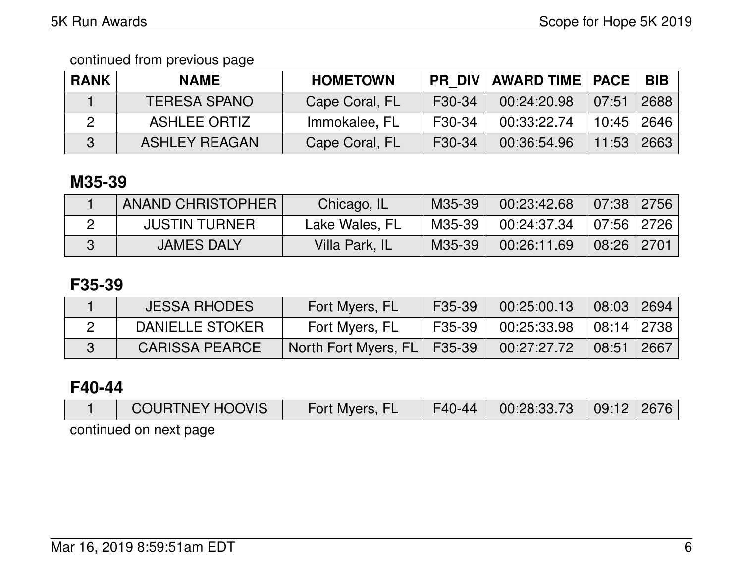continued from previous page

| <b>RANK</b> | <b>NAME</b>          | <b>HOMETOWN</b> |        | PR DIV   AWARD TIME   PACE |       | <b>BIB</b> |
|-------------|----------------------|-----------------|--------|----------------------------|-------|------------|
|             | <b>TERESA SPANO</b>  | Cape Coral, FL  | F30-34 | 00:24:20.98                | 07:51 | 2688       |
|             | <b>ASHLEE ORTIZ</b>  | Immokalee, FL   | F30-34 | 00:33:22.74                | 10:45 | 2646       |
|             | <b>ASHLEY REAGAN</b> | Cape Coral, FL  | F30-34 | 00:36:54.96                | 11:53 | 2663       |

## **M35-39**

| ANAND CHRISTOPHER    | Chicago, IL    | M35-39  | 00:23:42.68 | $07:38$   2756 |  |
|----------------------|----------------|---------|-------------|----------------|--|
| <b>JUSTIN TURNER</b> | Lake Wales, FL | M35-39, | 00:24:37.34 | 07:56   2726   |  |
| <b>JAMES DALY</b>    | Villa Park, IL | M35-39  | 00:26:11.69 | $08:26$ 2701   |  |

### **F35-39**

| <b>JESSA RHODES</b>   | Fort Myers, FL                | F35-39 | 00:25:00.13 | $08:03 \mid 2694$ |      |
|-----------------------|-------------------------------|--------|-------------|-------------------|------|
| DANIELLE STOKER       | Fort Myers, FL                | F35-39 | 00:25:33.98 | 08:14   2738      |      |
| <b>CARISSA PEARCE</b> | North Fort Myers, FL   F35-39 |        | 00:27:27.72 | $\sqrt{08:51}$    | 2667 |

### **F40-44**

| <b>COURTNEY HOOVIS</b> | Fort Myers, FL | F40-44 00:28:33.73 09:12 2676 |  |
|------------------------|----------------|-------------------------------|--|
| continued on next page |                |                               |  |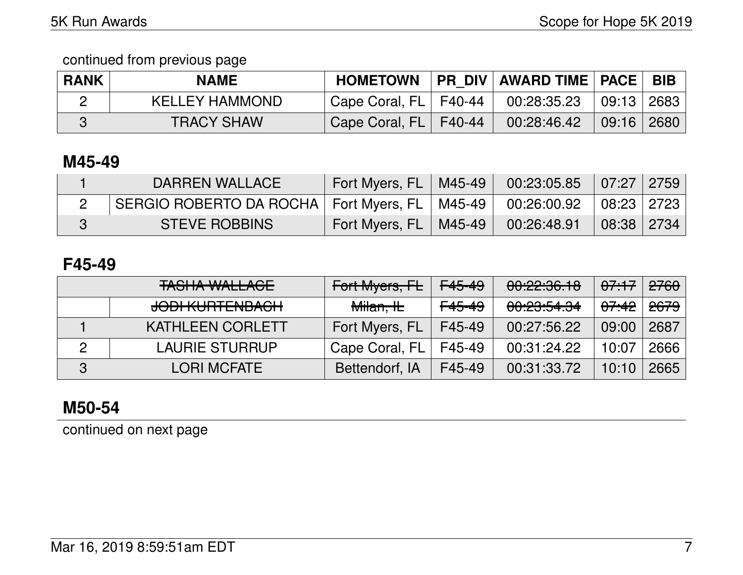| <b>RANK</b> | <b>NAME</b>           | <b>HOMETOWN</b>         | PR DIV AWARD TIME   PACE   BIB |                |                |
|-------------|-----------------------|-------------------------|--------------------------------|----------------|----------------|
|             | <b>KELLEY HAMMOND</b> | Cape Coral, FL   F40-44 | 00:28:35.23                    | $09:13$ 2683   |                |
|             | <b>TRACY SHAW</b>     | Cape Coral, FL   F40-44 | 00:28:46.42                    | $\sqrt{09:16}$ | $ 2680\rangle$ |

## **M45-49**

| DARREN WALLACE                                                                 | Fort Myers, FL   M45-49    | $00:23:05.85$ 07:27 2759 |            |  |
|--------------------------------------------------------------------------------|----------------------------|--------------------------|------------|--|
| SERGIO ROBERTO DA ROCHA   Fort Myers, FL   M45-49   00:26:00.92   08:23   2723 |                            |                          |            |  |
| <b>STEVE ROBBINS</b>                                                           | Fort Myers, FL   M45-49  \ | 00:26:48.91              | 08:38 2734 |  |

### **F45-49**

|   | <b>TASHA WALLACE</b>                                  | Fort Myers, FL       | <del>F45-49</del> | 00:22:36.18 | 07.17            | 2760            |
|---|-------------------------------------------------------|----------------------|-------------------|-------------|------------------|-----------------|
|   | <u>IANI IZI IDTENID ACLI</u><br><b>JUURNULLENDAUN</b> | <del>Milan, IL</del> | <del>F45-49</del> | 00:23:54.34 | <del>07:42</del> | <del>2679</del> |
|   | <b>KATHLEEN CORLETT</b>                               | Fort Myers, FL       | F45-49            | 00:27:56.22 | 09:00            | 2687            |
| 2 | <b>LAURIE STURRUP</b>                                 | Cape Coral, FL       | F45-49            | 00:31:24.22 | 10:07            | 2666            |
| 3 | <b>LORI MCFATE</b>                                    | Bettendorf, IA       | F45-49            | 00:31:33.72 | 10:10            | 2665            |

## **M50-54**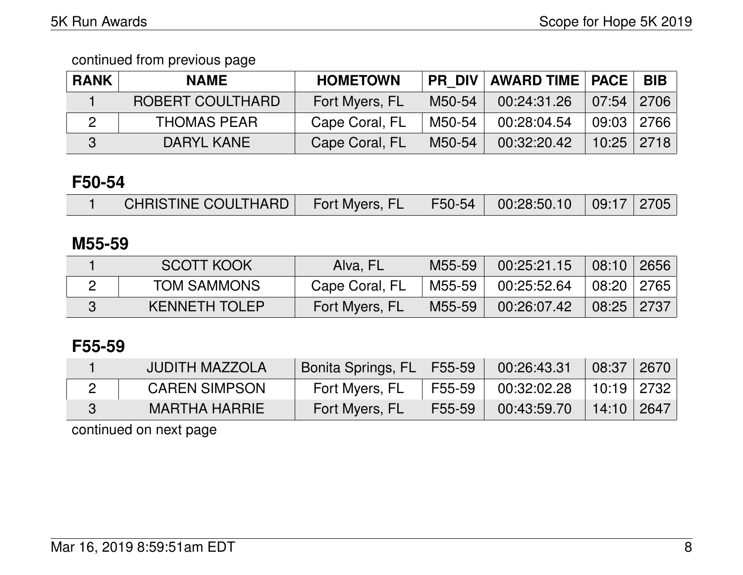| <b>RANK</b> | <b>NAME</b>        | <b>HOMETOWN</b> |        | <b>PR DIV AWARD TIME   PACE  </b> |                | <b>BIB</b> |
|-------------|--------------------|-----------------|--------|-----------------------------------|----------------|------------|
|             | ROBERT COULTHARD   | Fort Myers, FL  | M50-54 | 00:24:31.26                       | $07:54$   2706 |            |
|             | <b>THOMAS PEAR</b> | Cape Coral, FL  | M50-54 | 00:28:04.54                       | 09:03 2766     |            |
|             | DARYL KANE         | Cape Coral, FL  | M50-54 | 00:32:20.42                       | $10:25$   2718 |            |

## **F50-54**

|  | CHRISTINE COULTHARD | Fort Myers, FL |  | F50-54   00:28:50.10   09:17   2705 |  |  |
|--|---------------------|----------------|--|-------------------------------------|--|--|
|--|---------------------|----------------|--|-------------------------------------|--|--|

### **M55-59**

| <b>SCOTT KOOK</b>    | Alva, FL       | M55-59 | 00:25:21.15 | 08:10 2656       |  |
|----------------------|----------------|--------|-------------|------------------|--|
| <b>TOM SAMMONS</b>   | Cape Coral, FL | M55-59 | 00:25:52.64 | │ 08:20 │ 2765 │ |  |
| <b>KENNETH TOLEP</b> | Fort Myers, FL | M55-59 | 00:26:07.42 | $08:25$ 2737     |  |

## **F55-59**

| <b>JUDITH MAZZOLA</b> | Bonita Springs, FL   F55-59 |        | 00:26:43.31 | 08:37        | 2670 |
|-----------------------|-----------------------------|--------|-------------|--------------|------|
| <b>CAREN SIMPSON</b>  | Fort Myers, FL              | F55-59 | 00:32:02.28 | 10:19   2732 |      |
| MARTHA HARRIE I       | Fort Myers, FL              | F55-59 | 00:43:59.70 | 14:10   2647 |      |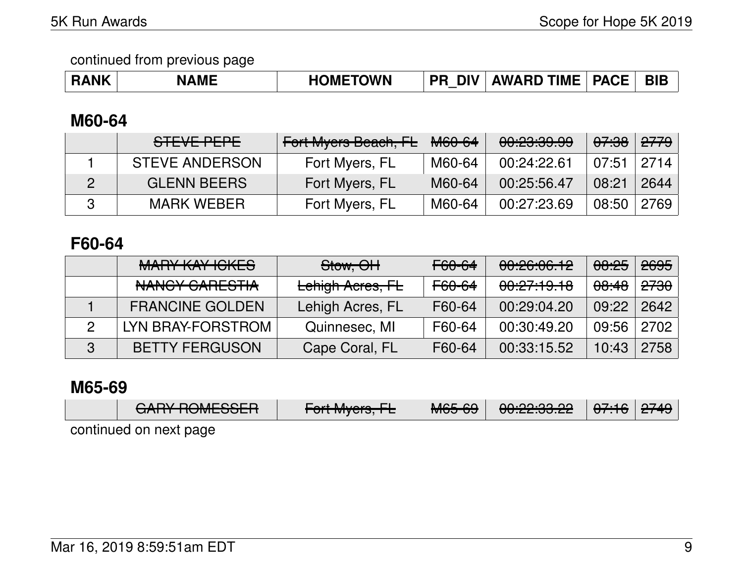| <b>RANK</b> | <b>NAME</b> | <b>HOMETOWN</b> | DIV<br><b>PR</b> |  |  | BIE |
|-------------|-------------|-----------------|------------------|--|--|-----|
|-------------|-------------|-----------------|------------------|--|--|-----|

## **M60-64**

| STEVE PEPE            | Fort Myers Beach, FL | <del>M60-64</del> | 00:23:39.99 | <del>07:38</del> | <del>2779</del> |
|-----------------------|----------------------|-------------------|-------------|------------------|-----------------|
| <b>STEVE ANDERSON</b> | Fort Myers, FL       | M60-64            | 00:24:22.61 | 07:51            | 2714            |
| <b>GLENN BEERS</b>    | Fort Myers, FL       | M60-64            | 00:25:56.47 | 08:21            | 2644            |
| <b>MARK WEBER</b>     | Fort Myers, FL       | M60-64            | 00:27:23.69 | 08:50            | 2769            |

## **F60-64**

|   | <b>MARY KAY ICKES</b>             | Stow, OH         | <del>F60-64</del> | 00:26:06.12 | 08:25            | <del>2695</del> |
|---|-----------------------------------|------------------|-------------------|-------------|------------------|-----------------|
|   | MAMOV CADECTIA<br>NAIVUT VAHLUTIA | Lehigh Acres, FL | F60-64            | 00:27:19.18 | <del>08:48</del> | <del>2730</del> |
|   | <b>FRANCINE GOLDEN</b>            | Lehigh Acres, FL | F60-64            | 00:29:04.20 | 09:22            | 2642            |
|   | LYN BRAY-FORSTROM                 | Quinnesec, MI    | F60-64            | 00:30:49.20 | 09:56            | 2702            |
| 3 | <b>BETTY FERGUSON</b>             | Cape Coral, FL   | F60-64            | 00:33:15.52 | 10:43            | 2758            |

### **M65-69**

| $\bigcap$<br><del>UAITH TUNLOOLN</del> | $\Gamma$ <sub>a</sub> $\mu$ M <sub>u</sub> $\alpha$<br>$T$ UILIWIYEIS, IE | MCFCO<br><del>MOJ UJ</del> | 0.0000000<br><del>00.22.00.22</del> | $\Delta$ 7.4 $\Delta$<br><del>ण .।०</del> । <del>टा १</del> ७ । | $\Omega$ |  |  |  |  |
|----------------------------------------|---------------------------------------------------------------------------|----------------------------|-------------------------------------|-----------------------------------------------------------------|----------|--|--|--|--|
| continued on next nane                 |                                                                           |                            |                                     |                                                                 |          |  |  |  |  |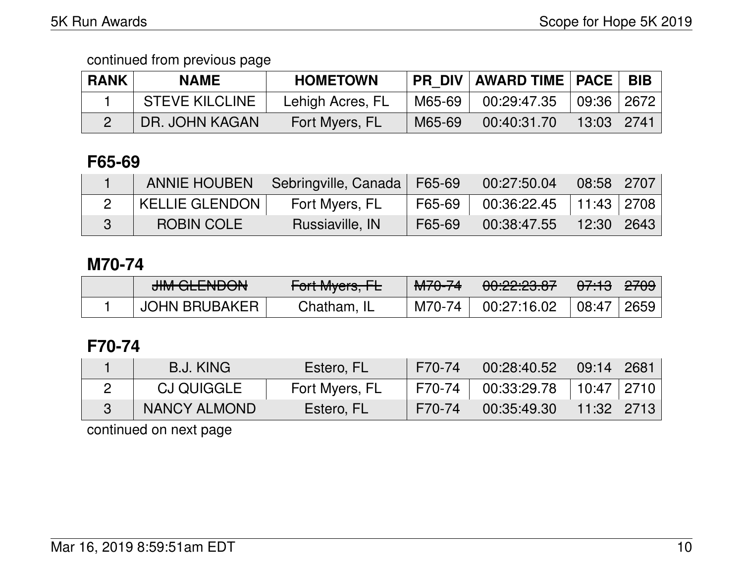| <b>RANK</b> | <b>NAME</b>           | <b>HOMETOWN</b>  | <b>PR DIV</b> | <b>AWARD TIME   PACE  </b> |            | <b>BIB</b> |
|-------------|-----------------------|------------------|---------------|----------------------------|------------|------------|
|             | <b>STEVE KILCLINE</b> | Lehigh Acres, FL | M65-69        | 00:29:47.35                | 09:36 2672 |            |
|             | DR. JOHN KAGAN        | Fort Myers, FL   | M65-69        | 00:40:31.70                | 13:03 2741 |            |

# **F65-69**

|                       | ANNIE HOUBEN   Sebringville, Canada   F65-69 |        | 00:27:50.04                  | $\vert$ 08:58 $\vert$ 2707 $\vert$ |  |
|-----------------------|----------------------------------------------|--------|------------------------------|------------------------------------|--|
| <b>KELLIE GLENDON</b> | Fort Myers, FL                               | F65-69 | $00:36:22.45$   11:43   2708 |                                    |  |
| ROBIN COLE            | Russiaville, IN                              | F65-69 | 00:38:47.55                  | 12:30   2643                       |  |

### **M70-74**

| $\bigcup_{i=1}^{n} \bigcap_{i=1}^{n} \bigcap_{i=1}^{n} \bigcap_{i=1}^{n} \bigcap_{i=1}^{n}$<br><del>JIM QLLIVDON</del> | $\Gamma_{\alpha}$ <sup>+</sup> M <sub>uare</sub> $\Gamma$<br>TUITIVIYUIS, IE | MTO <sub>74</sub><br>MTOTF | <u>no no no n</u><br>0.62.23.07 | ' <del>07:13</del> ' | <del>2709</del> |
|------------------------------------------------------------------------------------------------------------------------|------------------------------------------------------------------------------|----------------------------|---------------------------------|----------------------|-----------------|
| <b>JOHN BRUBAKER</b>                                                                                                   | Chatham, IL                                                                  | M70-74                     | 00:27:16.02                     | 08:47                | 2659            |

## **F70-74**

| B.J. KING         | Estero, FL     | F70-74 | 00:28:40.52 | 09:14   2681     |  |
|-------------------|----------------|--------|-------------|------------------|--|
| <b>CJ QUIGGLE</b> | Fort Myers, FL | F70-74 | 00:33:29.78 | 10:47   2710     |  |
| NANCY ALMOND      | Estero, FL     | F70-74 | 00:35:49.30 | │ 11:32 │ 2713 │ |  |